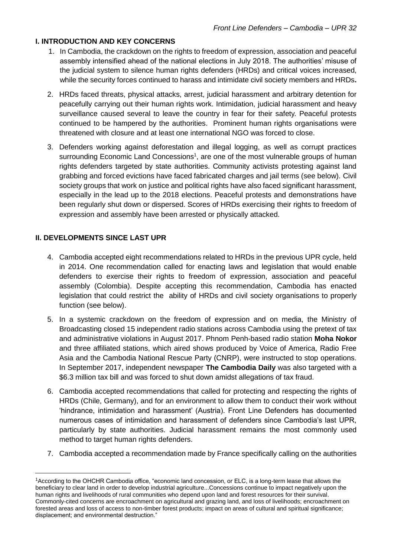# **I. INTRODUCTION AND KEY CONCERNS**

- 1. In Cambodia, the crackdown on the rights to freedom of expression, association and peaceful assembly intensified ahead of the national elections in July 2018. The authorities' misuse of the judicial system to silence human rights defenders (HRDs) and critical voices increased, while the security forces continued to harass and intimidate civil society members and HRDs**.**
- 2. HRDs faced threats, physical attacks, arrest, judicial harassment and arbitrary detention for peacefully carrying out their human rights work. Intimidation, judicial harassment and heavy surveillance caused several to leave the country in fear for their safety. Peaceful protests continued to be hampered by the authorities. Prominent human rights organisations were threatened with closure and at least one international NGO was forced to close.
- 3. Defenders working against deforestation and illegal logging, as well as corrupt practices surrounding Economic Land Concessions<sup>1</sup>, are one of the most vulnerable groups of human rights defenders targeted by state authorities. Community activists protesting against land grabbing and forced evictions have faced fabricated charges and jail terms (see below). Civil society groups that work on justice and political rights have also faced significant harassment, especially in the lead up to the 2018 elections. Peaceful protests and demonstrations have been regularly shut down or dispersed. Scores of HRDs exercising their rights to freedom of expression and assembly have been arrested or physically attacked.

#### **II. DEVELOPMENTS SINCE LAST UPR**

 $\overline{a}$ 

- 4. Cambodia accepted eight recommendations related to HRDs in the previous UPR cycle, held in 2014. One recommendation called for enacting laws and legislation that would enable defenders to exercise their rights to freedom of expression, association and peaceful assembly (Colombia). Despite accepting this recommendation, Cambodia has enacted legislation that could restrict the ability of HRDs and civil society organisations to properly function (see below).
- 5. In a systemic crackdown on the freedom of expression and on media, the Ministry of Broadcasting closed 15 independent radio stations across Cambodia using the pretext of tax and administrative violations in August 2017. Phnom Penh-based radio station **Moha Nokor** and three affiliated stations, which aired shows produced by Voice of America, Radio Free Asia and the Cambodia National Rescue Party (CNRP), were instructed to stop operations. In September 2017, independent newspaper **The Cambodia Daily** was also targeted with a \$6.3 million tax bill and was forced to shut down amidst allegations of tax fraud.
- 6. Cambodia accepted recommendations that called for protecting and respecting the rights of HRDs (Chile, Germany), and for an environment to allow them to conduct their work without 'hindrance, intimidation and harassment' (Austria). Front Line Defenders has documented numerous cases of intimidation and harassment of defenders since Cambodia's last UPR, particularly by state authorities. Judicial harassment remains the most commonly used method to target human rights defenders.
- 7. Cambodia accepted a recommendation made by France specifically calling on the authorities

<sup>1</sup>[According](http://cambodia.ohchr.org/en/economic-social-rights/economic-and-other-land-concessions) to the OHCHR Cambodia office, "economic land concession, or ELC, is a long-term lease that allows the beneficiary to clear land in order to develop industrial agriculture...Concessions continue to impact negatively upon the human rights and livelihoods of rural communities who depend upon land and forest resources for their survival. Commonly-cited concerns are encroachment on agricultural and grazing land, and loss of livelihoods; encroachment on forested areas and loss of access to non-timber forest products; impact on areas of cultural and spiritual significance; displacement; and environmental destruction."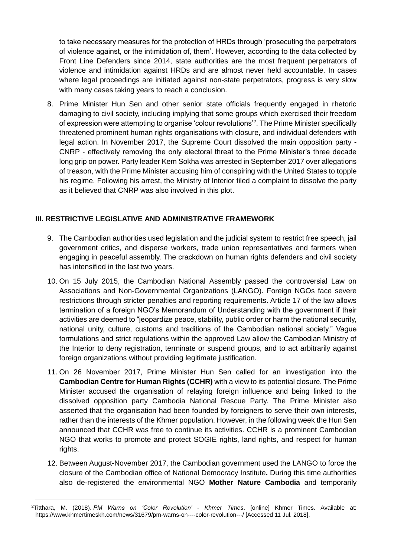to take necessary measures for the protection of HRDs through 'prosecuting the perpetrators of violence against, or the intimidation of, them'. However, according to the data collected by Front Line Defenders since 2014, state authorities are the most frequent perpetrators of violence and intimidation against HRDs and are almost never held accountable. In cases where legal proceedings are initiated against non-state perpetrators, progress is very slow with many cases taking years to reach a conclusion.

8. Prime Minister Hun Sen and other senior state officials frequently engaged in rhetoric damaging to civil society, including implying that some groups which exercised their freedom of expression were attempting to organise 'colour revolutions'<sup>2</sup>. The Prime Minister specifically threatened prominent human rights organisations with closure, and individual defenders with legal action. In November 2017, the Supreme Court dissolved the main opposition party - CNRP - effectively removing the only electoral threat to the Prime Minister's three decade long grip on power. Party leader Kem Sokha was arrested in September 2017 over allegations of treason, with the Prime Minister accusing him of conspiring with the United States to topple his regime. Following his arrest, the Ministry of Interior filed a complaint to dissolve the party as it believed that CNRP was also involved in this plot.

# **III. RESTRICTIVE LEGISLATIVE AND ADMINISTRATIVE FRAMEWORK**

- 9. The Cambodian authorities used legislation and the judicial system to restrict free speech, jail government critics, and disperse workers, trade union representatives and farmers when engaging in peaceful assembly. The crackdown on human rights defenders and civil society has intensified in the last two years.
- 10. On 15 July 2015, the Cambodian National Assembly passed the controversial Law on Associations and Non-Governmental Organizations (LANGO). Foreign NGOs face severe restrictions through stricter penalties and reporting requirements. Article 17 of the law allows termination of a foreign NGO's Memorandum of Understanding with the government if their activities are deemed to "jeopardize peace, stability, public order or harm the national security, national unity, culture, customs and traditions of the Cambodian national society." Vague formulations and strict regulations within the approved Law allow the Cambodian Ministry of the Interior to deny registration, terminate or suspend groups, and to act arbitrarily against foreign organizations without providing legitimate justification.
- 11. On 26 November 2017, Prime Minister Hun Sen called for an [investigation](https://www.frontlinedefenders.org/en/case/prime-minister-seeks-shut-down-leading-human-rights-organisation#case-update-id-6842) into the **Cambodian Centre for Human Rights (CCHR)** with a view to its potential closure. The Prime Minister accused the organisation of relaying foreign influence and being linked to the dissolved opposition party Cambodia National Rescue Party. The Prime Minister also asserted that the organisation had been founded by foreigners to serve their own interests, rather than the interests of the Khmer population. However, in the following week the Hun Sen [announced](https://www.frontlinedefenders.org/en/case/prime-minister-seeks-shut-down-leading-human-rights-organisation#case-update-id-7520) that CCHR was free to continue its activities. CCHR is a prominent Cambodian NGO that works to promote and protect SOGIE rights, land rights, and respect for human rights.
- 12. Between August-November 2017, the Cambodian government used the LANGO to force the closure of the Cambodian office of National Democracy Institute**.** During this time authorities also de-registered the environmental NGO **Mother Nature Cambodia** and temporarily

 $\overline{a}$ 

<sup>2</sup>Titthara, M. (2018). *PM Warns on 'Color Revolution' - Khmer Times*. [online] Khmer Times. Available at: https://www.khmertimeskh.com/news/31679/pm-warns-on----color-revolution---/ [Accessed 11 Jul. 2018].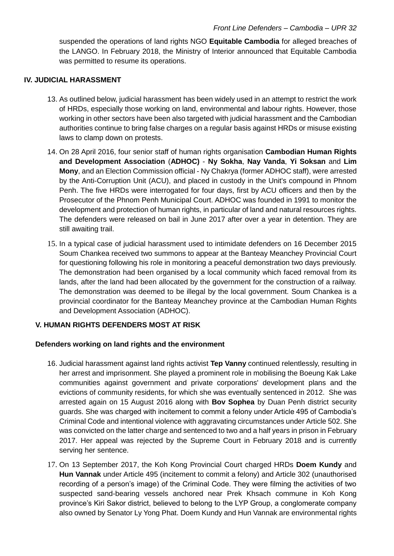suspended the operations of land rights NGO **Equitable Cambodia** for alleged breaches of the LANGO. In February 2018, the Ministry of Interior announced that Equitable Cambodia was permitted to resume its operations.

#### **IV. JUDICIAL HARASSMENT**

- 13. As outlined below, judicial harassment has been widely used in an attempt to restrict the work of HRDs, especially those working on land, environmental and labour rights. However, those working in other sectors have been also targeted with judicial harassment and the Cambodian authorities continue to bring false charges on a regular basis against HRDs or misuse existing laws to clamp down on protests.
- 14. On 28 April 2016, four senior staff of human rights organisation **Cambodian Human Rights and Development Association** (**ADHOC)** - **Ny Sokha**, **Nay Vanda**, **Yi Soksan** and **Lim Mony**, and an Election Commission official - Ny Chakrya (former ADHOC staff), wer[e arrested](https://www.frontlinedefenders.org/en/case/five-adhoc-members-detained#case-update-id-3050) by the Anti-Corruption Unit (ACU), and placed in custody in the Unit's compound in Phnom Penh. The five HRDs were interrogated for four days, first by ACU officers and then by the Prosecutor of the Phnom Penh Municipal Court. ADHOC was founded in 1991 to monitor the development and protection of human rights, in particular of land and natural resources rights. The defenders were [released on bail](https://www.frontlinedefenders.org/en/case/five-adhoc-members-detained#case-update-id-5962) in June 2017 after over a year in detention. They are still awaiting trail.
- 15. In a typical case of judicial harassment used to intimidate defenders on 16 December 2015 Soum Chankea [received](https://www.frontlinedefenders.org/en/case/case-history-soum-chankea#case-update-id-141) two summons to appear at the Banteay Meanchey Provincial Court for questioning following his role in monitoring a peaceful demonstration two days previously. The demonstration had been organised by a local community which faced removal from its lands, after the land had been allocated by the government for the construction of a railway. The demonstration was deemed to be illegal by the local government. Soum Chankea is a provincial coordinator for the Banteay Meanchey province at the Cambodian Human Rights and Development Association (ADHOC).

# **V. HUMAN RIGHTS DEFENDERS MOST AT RISK**

#### **Defenders working on land rights and the environment**

- 16. Judicial harassment against land rights activist **Tep Vanny** continued relentlessly, resulting in her arrest and imprisonment. She played a prominent role in mobilising the Boeung Kak Lake communities against government and private corporations' development plans and the evictions of community residents, for which she was eventually sentenced in 2012. She was [arrested a](https://www.frontlinedefenders.org/en/case/tep-vanny-sentenced-prison#case-update-id-4201)gain on 15 August 2016 along with **Bov Sophea** by Duan Penh district security guards. She was charged with incitement to commit a felony under Article 495 of Cambodia's Criminal Code and intentional violence with aggravating circumstances under Article 502. She was convicted on the latter charge and [sentenced](https://www.frontlinedefenders.org/en/case/tep-vanny-sentenced-prison#case-update-id-5216) to two and a half years in prison in February 2017. Her appeal was [rejected](https://www.frontlinedefenders.org/en/case/tep-vanny-sentenced-prison#case-update-id-7145) by the Supreme Court in February 2018 and is currently serving her sentence.
- 17. On 13 September 2017, the Koh Kong Provincial Court [charged](https://www.frontlinedefenders.org/en/case/judicial-harassment-against-hun-vannak#case-update-id-6533) HRDs **Doem Kundy** and **Hun Vannak** under Article 495 (incitement to commit a felony) and Article 302 (unauthorised recording of a person's image) of the Criminal Code. They were filming the activities of two suspected sand-bearing vessels anchored near Prek Khsach commune in Koh Kong province's Kiri Sakor district, believed to belong to the LYP Group, a conglomerate company also owned by Senator Ly Yong Phat. Doem Kundy and Hun Vannak are environmental rights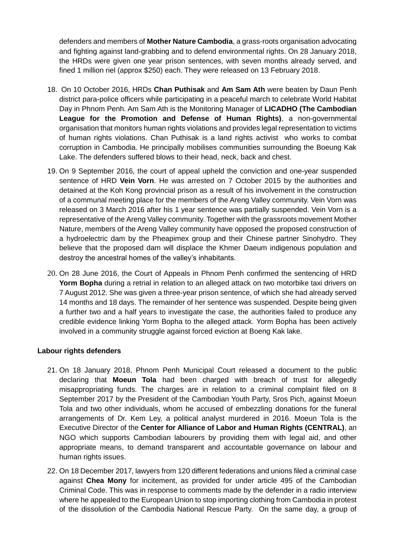defenders and members of **Mother Nature Cambodia**, a grass-roots organisation advocating and fighting against land-grabbing and to defend environmental rights. On 28 January 2018, the HRDs were given one year prison sentences, with seven months already served, and fined 1 million riel (approx \$250) each. They were released on 13 February 2018.

- 18. On 10 October 2016, HRDs **Chan Puthisak** and **Am Sam Ath** were [beaten](https://www.frontlinedefenders.org/en/case/physical-attack-against-am-sam-ath#case-update-id-4472) by Daun Penh district para-police officers while participating in a peaceful march to celebrate World Habitat Day in Phnom Penh. Am Sam Ath is the Monitoring Manager of **LICADHO (The Cambodian League for the Promotion and Defense of Human Rights)**, a non-governmental organisation that monitors human rights violations and provides legal representation to victims of human rights violations. Chan Puthisak is a land rights activist who works to combat corruption in Cambodia. He principally mobilises communities surrounding the Boeung Kak Lake. The defenders suffered blows to their head, neck, back and chest.
- 19. On 9 September 2016, the court of appeal [upheld](https://www.frontlinedefenders.org/en/case/vein-vorn-sentenced-one-year-prison) the conviction and one-year suspended sentence of HRD **Vein Vorn**. He was [arrested](https://www.frontlinedefenders.org/en/case/vein-vorn-sentenced-one-year-prison#case-update-id-720) on 7 October 2015 by the authorities and detained at the Koh Kong provincial prison as a result of his involvement in the construction of a communal meeting place for the members of the Areng Valley community. Vein Vorn was released on 3 March 2016 after his 1 year sentence was partially suspended. Vein Vorn is a representative of the Areng Valley community. Together with the grassroots movement Mother Nature, members of the Areng Valley community have opposed the proposed construction of a hydroelectric dam by the Pheapimex group and their Chinese partner Sinohydro. They believe that the proposed dam will displace the Khmer Daeum indigenous population and destroy the ancestral homes of the valley's inhabitants.
- 20. On 28 June 2016, the Court of Appeals in Phnom Penh [confirmed](https://www.frontlinedefenders.org/en/case/case-history-yorm-bopha#case-update-id-3755) the sentencing of HRD **Yorm Bopha** during a retrial in relation to an alleged attack on two motorbike taxi drivers on 7 August 2012. She was given a three-year prison sentence, of which she had already served 14 months and 18 days. The remainder of her sentence was suspended. Despite being given a further two and a half years to investigate the case, the authorities failed to produce any credible evidence linking Yorm Bopha to the alleged attack. Yorm Bopha has been actively involved in a community struggle against forced eviction at Boeng Kak lake.

#### **Labour rights defenders**

- 21. On 18 January 2018, Phnom Penh Municipal Court released a document to the public declaring that **Moeun Tola** had been [charged](https://www.frontlinedefenders.org/en/case/moeun-tola-summoned-and-questioned#case-update-id-7087) with breach of trust for allegedly misappropriating funds. The charges are in relation to a criminal complaint filed on 8 September 2017 by the President of the Cambodian Youth Party, Sros Pich, against Moeun Tola and two other individuals, whom he accused of embezzling donations for the funeral arrangements of Dr. Kem Ley, a political analyst murdered in 2016. Moeun Tola is the Executive Director of the **Center for Alliance of Labor and Human Rights (CENTRAL)**, an NGO which supports Cambodian labourers by providing them with legal aid, and other appropriate means, to demand transparent and accountable governance on labour and human rights issues.
- 22. On 18 December 2017, lawyers from 120 different federations and unions filed a [criminal case](https://www.frontlinedefenders.org/en/case/chea-mony-summoned-court-attacked-and-receiving-death-threats#case-update-id-7032) against **Chea Mony** for incitement, as provided for under article 495 of the Cambodian Criminal Code. This was in response to comments made by the defender in a radio interview where he appealed to the European Union to stop importing clothing from Cambodia in protest of the dissolution of the Cambodia National Rescue Party. On the same day, a group of